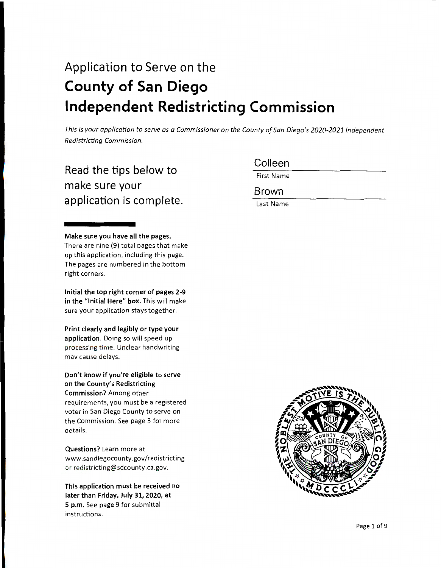# Application to Serve on the **County of San Diego Independent Redistricting Commission**

*This is your application to serve as a Commissioner on the County of San Diego's 2020-2021 Independent Redistricting Commission.* 

# Read the tips below to make sure your application is complete.

**Make sure you have all the pages.**  There are nine (9) total pages that make up this application, including this page. The pages are numbered in the bottom right corners .

**Initial the top right corner of pages 2-9 in the "Initial Here" box.** This will make sure your application stays together.

**Print clearly and legibly or type your application.** Doing so will speed up processing time. Unclear handwriting may cause delays.

**Don't know if you're eligible to serve on the County's Redistricting Commission?** Among other requirements, you must be a registered voter in San Diego County to serve on the Commission. See page 3 for more details.

**Questions?** Learn more at www.sandiegocounty.gov/redistricting or redistricting@sdcounty.ca.gov.

**This application must be received no later than Friday, July 31, 2020, at**  5 **p.m.** See page 9 for submittal instructions.

Colleen

First Name

Brown

Last Name

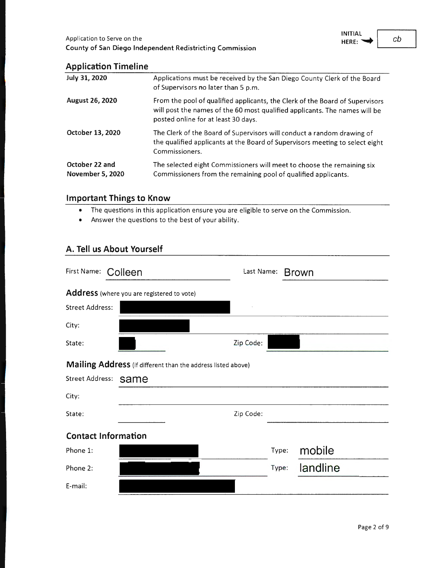

### **Application Timeline**

| July 31, 2020                             | Applications must be received by the San Diego County Clerk of the Board<br>of Supervisors no later than 5 p.m.                                                                                   |
|-------------------------------------------|---------------------------------------------------------------------------------------------------------------------------------------------------------------------------------------------------|
| <b>August 26, 2020</b>                    | From the pool of qualified applicants, the Clerk of the Board of Supervisors<br>will post the names of the 60 most qualified applicants. The names will be<br>posted online for at least 30 days. |
| October 13, 2020                          | The Clerk of the Board of Supervisors will conduct a random drawing of<br>the qualified applicants at the Board of Supervisors meeting to select eight<br>Commissioners.                          |
| October 22 and<br><b>November 5, 2020</b> | The selected eight Commissioners will meet to choose the remaining six<br>Commissioners from the remaining pool of qualified applicants.                                                          |

### **Important Things to Know**

- The questions in this application ensure you are eligible to serve on the Commission.
- Answer the questions to the best of your ability.

# **A. Tell us About Yourself**

| First Name:                | Colleen                                                      | Last Name: |       | <b>Brown</b> |
|----------------------------|--------------------------------------------------------------|------------|-------|--------------|
|                            | Address (where you are registered to vote)                   |            |       |              |
| <b>Street Address:</b>     |                                                              |            |       |              |
| City:                      |                                                              |            |       |              |
| State:                     |                                                              | Zip Code:  |       |              |
|                            | Mailing Address (if different than the address listed above) |            |       |              |
| <b>Street Address:</b>     | same                                                         |            |       |              |
| City:                      |                                                              |            |       |              |
| State:                     |                                                              | Zip Code:  |       |              |
| <b>Contact Information</b> |                                                              |            |       |              |
| Phone 1:                   |                                                              |            | Type: | mobile       |
| Phone 2:                   |                                                              |            | Type: | landline     |
| E-mail:                    |                                                              |            |       |              |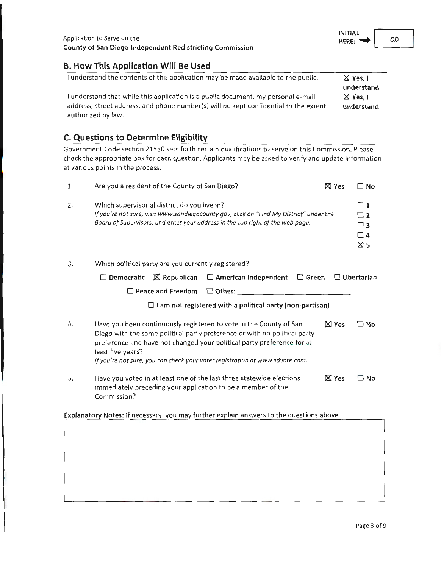### **B. How This Application Will Be Used**

| I understand the contents of this application may be made available to the public.   | $\boxtimes$ Yes, I |
|--------------------------------------------------------------------------------------|--------------------|
|                                                                                      | understand         |
| I understand that while this application is a public document, my personal e-mail    | $\boxtimes$ Yes, I |
| address, street address, and phone number(s) will be kept confidential to the extent | understand         |
| authorized by law.                                                                   |                    |

# **C. Questions to Determine Eligibility**

Government Code section 21550 sets forth certain qualifications to serve on this Commission. Please check the appropriate box for each question. Applicants may be asked to verify and update information at various points in the process.

| 1. | Are you a resident of the County of San Diego?                                                                                                                                                                                                                                                                                 |              | □ No                                                                    |
|----|--------------------------------------------------------------------------------------------------------------------------------------------------------------------------------------------------------------------------------------------------------------------------------------------------------------------------------|--------------|-------------------------------------------------------------------------|
| 2. | Which supervisorial district do you live in?<br>If you're not sure, visit www.sandiegocounty.gov, click on "Find My District" under the<br>Board of Supervisors, and enter your address in the top right of the web page.                                                                                                      |              | $\Box$ 1<br>$\sqsupset$ 2<br>$\sqsupset$ 3<br>$\Box$ 4<br>$\boxtimes$ 5 |
| 3. | Which political party are you currently registered?                                                                                                                                                                                                                                                                            |              |                                                                         |
|    | $\boxtimes$ Republican<br>$\Box$ American Independent<br>$\Box$ Green<br>Democratic                                                                                                                                                                                                                                            |              | $\Box$ Libertarian                                                      |
|    | $\square$ Other: $\_$<br>Peace and Freedom                                                                                                                                                                                                                                                                                     |              |                                                                         |
|    | I am not registered with a political party (non-partisan)                                                                                                                                                                                                                                                                      |              |                                                                         |
| 4. | Have you been continuously registered to vote in the County of San<br>Diego with the same political party preference or with no political party<br>preference and have not changed your political party preference for at<br>least five years?<br>If you're not sure, you can check your voter registration at www.sdvote.com. | $\times$ Yes | No                                                                      |
| 5. | Have you voted in at least one of the last three statewide elections<br>immediately preceding your application to be a member of the<br>Commission?                                                                                                                                                                            | <b>X</b> Yes | ∩ No                                                                    |
|    | Explanatory Notes: If recessary, you may further explain answers to the questions above.                                                                                                                                                                                                                                       |              |                                                                         |
|    |                                                                                                                                                                                                                                                                                                                                |              |                                                                         |

cb

**INITIAL**  HERE:  $\rightarrow$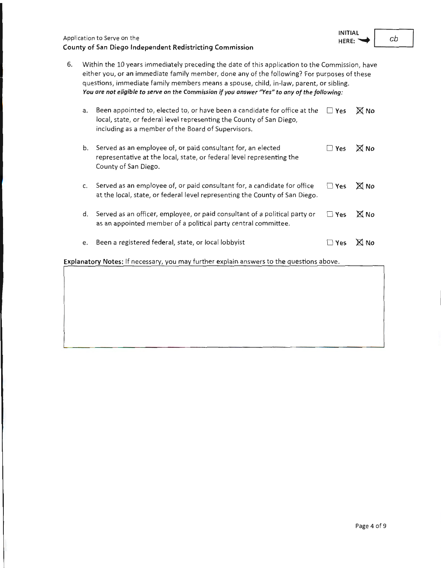| Application to Serve on the                              |  |
|----------------------------------------------------------|--|
| County of San Diego Independent Redistricting Commission |  |

6. Within the 10 years immediately preceding the date of this application to the Commission, have either you, or an immediate family member, done any of the following? For purposes of these questions, immediate family members means a spouse, child, in-law, parent, or sibling. *You are not eligible to serve on the Commission if you answer "Yes" to any of the following :* 

| a. | Been appointed to, elected to, or have been a candidate for office at the<br>local, state, or federal level representing the County of San Diego,<br>including as a member of the Board of Supervisors. | $\Box$ Yes | $\boxtimes$ No |
|----|---------------------------------------------------------------------------------------------------------------------------------------------------------------------------------------------------------|------------|----------------|
| b. | Served as an employee of, or paid consultant for, an elected<br>representative at the local, state, or federal level representing the<br>County of San Diego.                                           | $\Box$ Yes | $\times$ No    |
| c. | Served as an employee of, or paid consultant for, a candidate for office<br>at the local, state, or federal level representing the County of San Diego.                                                 | $\Box$ Yes | $\times$ No    |
| d. | Served as an officer, employee, or paid consultant of a political party or<br>as an appointed member of a political party central committee.                                                            | $\Box$ Yes | $\times$ No    |
| e. | Been a registered federal, state, or local lobbyist                                                                                                                                                     | Yes        | <b>X</b> No    |

**Explanatory Notes:** If necessary, you may further explain answers to the questions above.

**INITIAL**  HERE: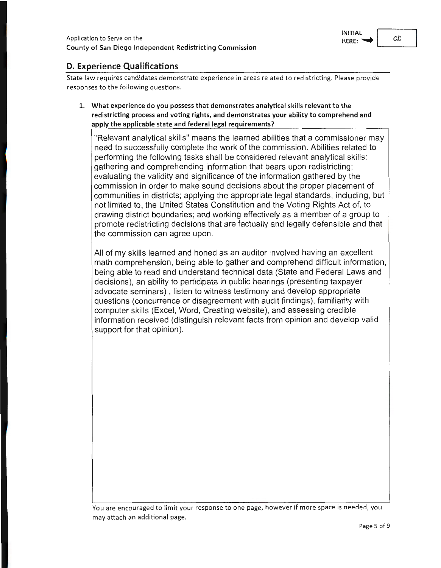

# **D. Experience Qualifications**

State law requires candidates demonstrate experience in areas related to redistricting. Please provide responses to the following questions.

**1. What experience do you possess that demonstrates analytical skills relevant to the redistricting process and voting rights, and demonstrates your ability to comprehend and apply the applicable state and federal legal requirements?** 

"Relevant analytical skills" means the learned abilities that a commissioner may need to successfully complete the work of the commission. Abilities related to performing the following tasks shall be considered relevant analytical skills: gathering and comprehending information that bears upon redistricting; evaluating the validity and significance of the information gathered by the commission in order to make sound decisions about the proper placement of communities in districts; applying the appropriate legal standards, including, but not limited to, the United States Constitution and the Voting Rights Act of, to drawing district boundaries; and working effectively as a member of a group to promote redistricting decisions that are factually and legally defensible and that the commission can agree upon.

All of my skills learned and honed as an auditor involved having an excellent math comprehension, being able to gather and comprehend difficult information, being able to read and understand technical data (State and Federal Laws and decisions), an ability to participate in public hearings (presenting taxpayer advocate seminars) , listen to witness testimony and develop appropriate questions (concurrence or disagreement with audit findings), familiarity with computer skills (Excel, Word, Creating website), and assessing credible information received (distinguish relevant facts from opinion and develop valid support for that opinion).

You are encouraged to limit your response to one page, however if more space is needed, you may attach an additional page.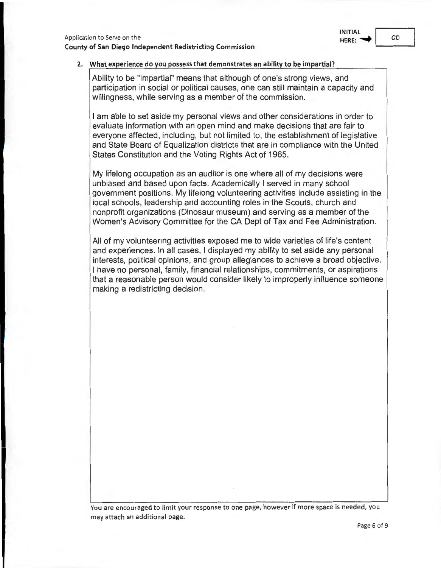# **INITIAL** I

### **2. What experience do you possess that demonstrates an ability to be impartial?**

Ability to be "impartial" means that although of one's strong views, and participation in social or political causes, one can still maintain a capacity and willingness, while serving as a member of the commission.

I am able to set aside my personal views and other considerations in order to evaluate information with an open mind and make decisions that are fair to everyone affected, including, but not limited to, the establishment of legislative and State Board of Equalization districts that are in compliance with the United States Constitution and the Voting Rights Act of 1965.

My lifelong occupation as an auditor is one where all of my decisions were unbiased and based upon facts. Academically I served in many school government positions. My lifelong volunteering activities include assisting in the local schools, leadership and accounting roles in the Scouts, church and nonprofit organizations (Dinosaur museum) and serving as a member of the Women's Advisory Committee for the CA Dept of Tax and Fee Administration.

All of my volunteering activities exposed me to wide varieties of life's content and experiences. In all cases, I displayed my ability to set aside any personal interests, political opinions, and group allegiances to achieve a broad objective. I have no personal, family, financial relationships, commitments, or aspirations that a reasonable person would consider likely to improperly influence someone making a redistricting decision.

You are encouraged to limit your response to one page, however if more space is needed, you may attach an additional page.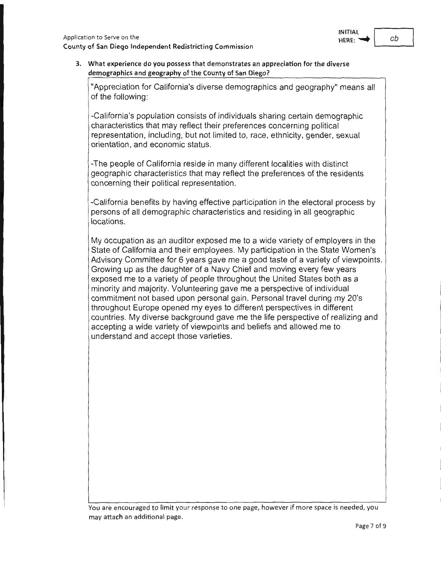

#### **3. What experience do you possess that demonstrates an appreciation for the diverse demographics and geography of the County of San Diego?**

"Appreciation for California's diverse demographics and geography" means all of the following:

-California's population consists of individuals sharing certain demographic characteristics that may reflect their preferences concerning political representation, including, but not limited to, race, ethnicity, gender, sexual orientation, and economic status.

-The people of California reside in many different localities with distinct geographic characteristics that may reflect the preferences of the residents concerning their political representation.

-California benefits by having effective participation in the electoral process by persons of all demographic characteristics and residing in all geographic locations.

My occupation as an auditor exposed me to a wide variety of employers in the State of California and their employees. My participation in the State Women's Advisory Committee for 6 years gave me a good taste of a variety of viewpoints. Growing up as the daughter of a Navy Chief and moving every few years exposed me to a variety of people throughout the United States both as a minority and majority. Volunteering gave me a perspective of individual commitment not based upon personal gain. Personal travel during my 20's throughout Europe opened my eyes to different perspectives in different countries. My diverse background gave me the life perspective of realizing and accepting a wide variety of viewpoints and beliefs and allowed me to understand and accept those varieties.

You are encouraged to limit your response to one page, however if more space is needed, you may attach an additional page.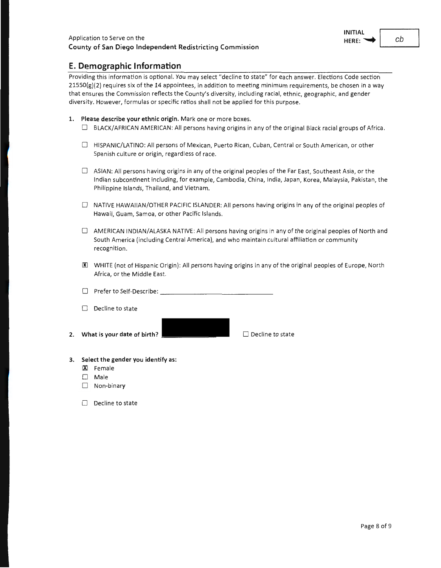#### **E. Demographic Information**

Providing this information is optional. You may select "decline to state" for each answer. Elections Code section  $21550(g)(2)$  requires six of the 14 appointees, in addition to meeting minimum requirements, be chosen in a way that ensures the Commission reflects the County's diversity, including racial, ethnic, geographic, and gender diversity. However, formulas or specific ratios shall not be applied for this purpose.

- **1. Please describe your ethnic origin.** Mark one or more boxes.
	- $\Box$  BLACK/AFRICAN AMERICAN: All persons having origins in any of the original Black racial groups of Africa.
	- 0 HISPANIC/LATINO: All persons of Mexican, Puerto Rican, Cuban, Central or South American, or other Spanish culture or origin, regardless of race.
	- $\Box$  ASIAN: All persons having origins in any of the original peoples of the Far East, Southeast Asia, or the Indian subcontinent including, for example, Cambodia, China, India, Japan, Korea, Malaysia, Pakistan, the Philippine Islands, Thailand, and Vietnam.
	- $\Box$  NATIVE HAWAIIAN/OTHER PACIFIC ISLANDER: All persons having origins in any of the original peoples of Hawaii, Guam, Samoa, or other Pacific Islands.
	- $\Box$  AMERICAN INDIAN/ALASKA NATIVE: All persons having origins in any of the original peoples of North and South America (including Central America), and who maintain cultural affiliation or community recognition.
	- 00 WHITE (not of Hispanic Origin): All persons having origins in any of the original peoples of Europe, North Africa, or the Middle East.
	- 0 Prefer to Self-Describe: \_\_\_\_\_\_\_\_\_\_\_\_\_\_ \_
	- $\Box$  Decline to state
- **2.** What is your date of birth? **0 All Access 2. Construction** Decline to state

- **3. Select the gender you identify as:** 
	- IXl Female
	- 0 Male
	- D Non-binary
	- $\Box$  Decline to state